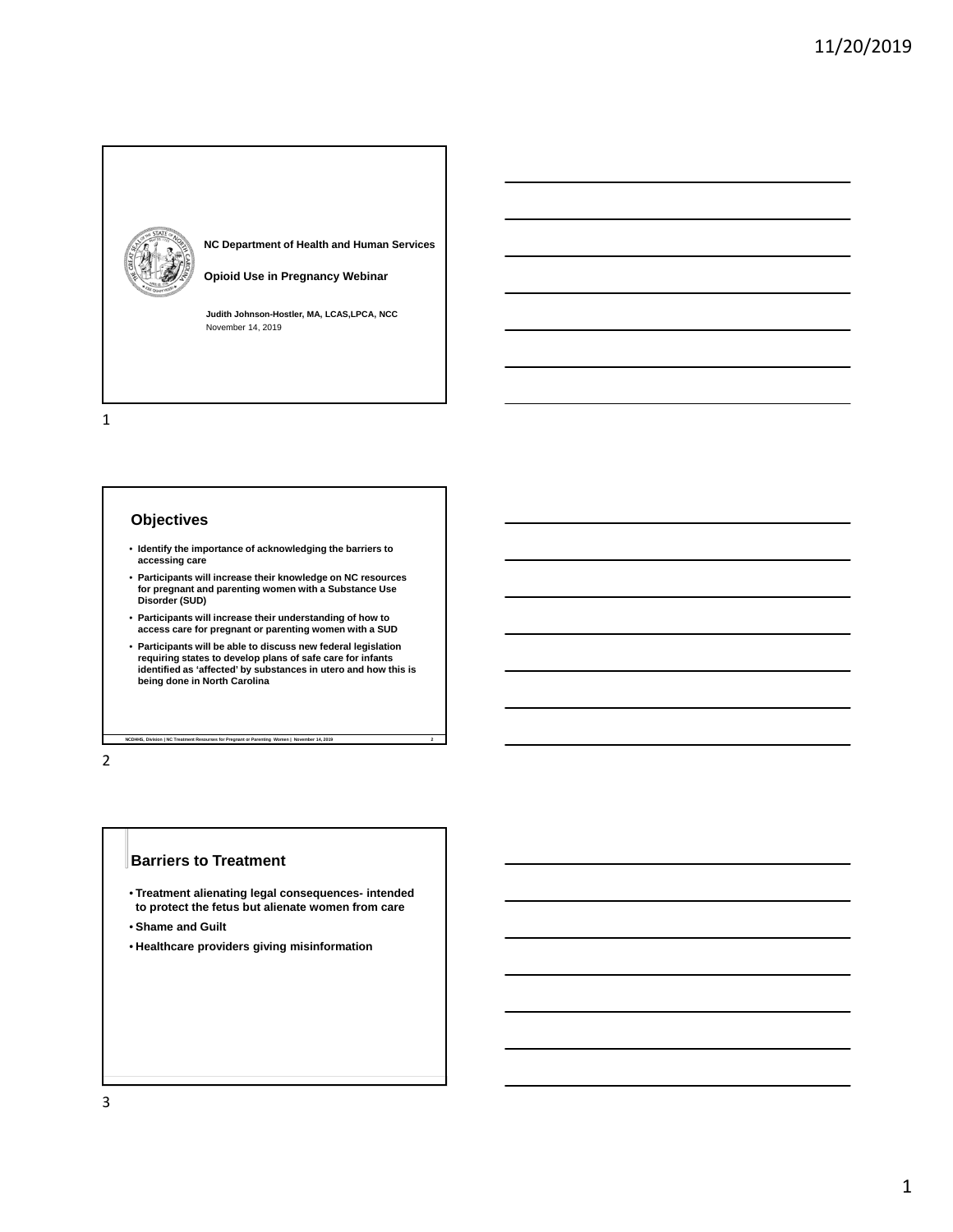

**Opioid Use in Pregnancy Webinar**

**Judith Johnson-Hostler, MA, LCAS,LPCA, NCC** November 14, 2019

1

### **Objectives**

- **Identify the importance of acknowledging the barriers to accessing care**
- **Participants will increase their knowledge on NC resources for pregnant and parenting women with a Substance Use Disorder (SUD)**
- **Participants will increase their understanding of how to access care for pregnant or parenting women with a SUD**
- Participants will be able to discuss new federal legislation<br>requiring states to develop plans of safe care for infants<br>identified as 'affected' by substances in utero and how this is<br>being done in North Carolina

2

### **Barriers to Treatment**

**NCDHHS, Division | NC Treatment Resourses for Pregnant or Parenting Women | November 14, 2019 2**

- **Treatment alienating legal consequences- intended to protect the fetus but alienate women from care**
- **Shame and Guilt**
- **Healthcare providers giving misinformation**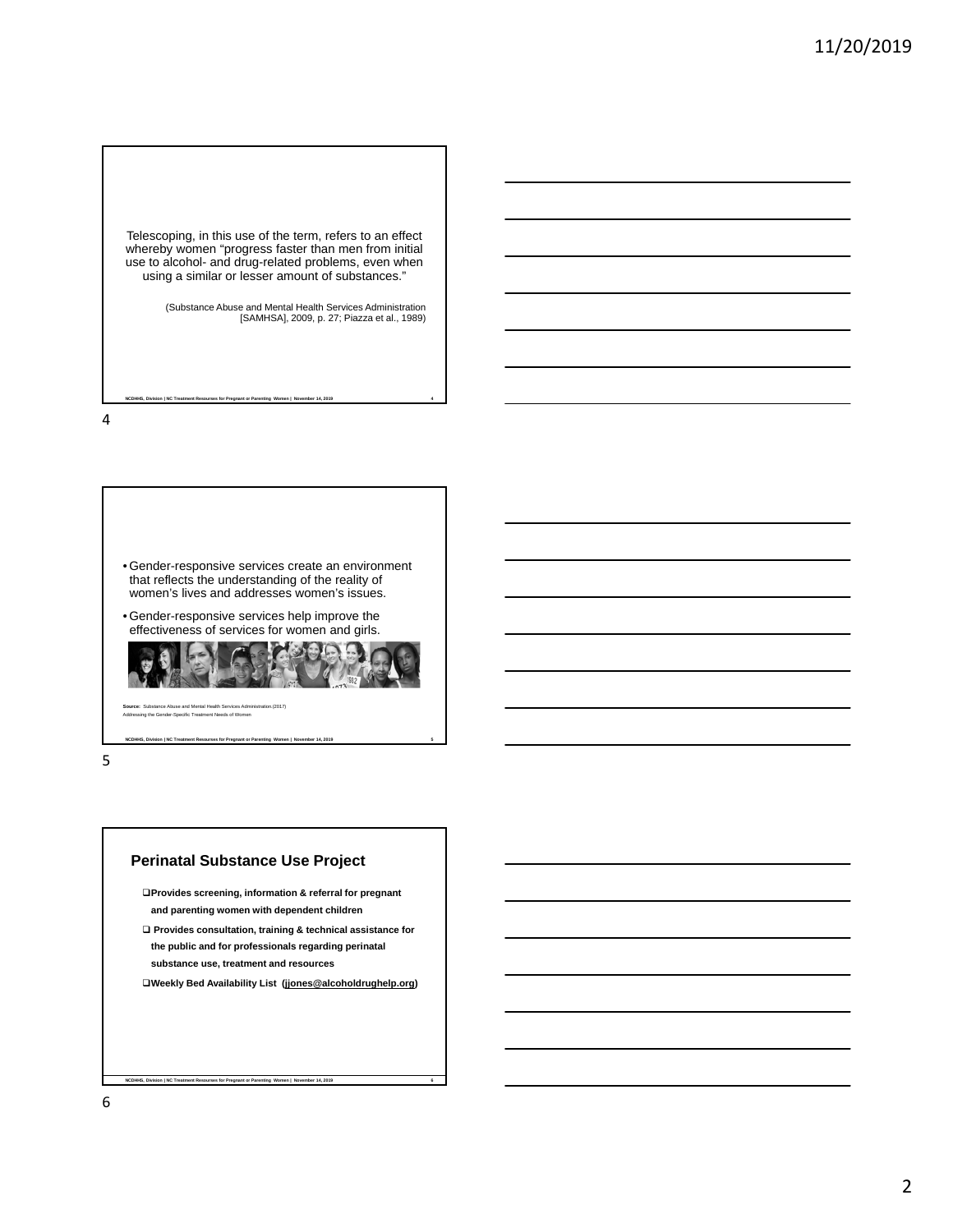Telescoping, in this use of the term, refers to an effect whereby women "progress faster than men from initial use to alcohol- and drug-related problems, even when using a similar or lesser amount of substances."

(Substance Abuse and Mental Health Services Administration [SAMHSA], 2009, p. 27; Piazza et al., 1989)

**NCDHHS, Division | NC Treatment Resourses for Pregnant or Parenting Women | November 14, 2019 4**

4

• Gender-responsive services create an environment that reflects the understanding of the reality of women's lives and addresses women's issues.

• Gender-responsive services help improve the effectiveness of services for women and girls.



**Source:** Substance Abuse and Mental Health Services Administration.(2017) Addressing the Gender-Specific Treatment Needs of Women

**NC Treatment Resourses for Pregnant or Parenting Women | No** 

5

# **Perinatal Substance Use Project**

**NCDHHS, Division | NC Treatment Resourses for Pregnant or Parenting Women | November 14, 2019 6**

**Provides screening, information & referral for pregnant and parenting women with dependent children**

 **Provides consultation, training & technical assistance for the public and for professionals regarding perinatal substance use, treatment and resources** 

**Weekly Bed Availability List (jjones@alcoholdrughelp.org)**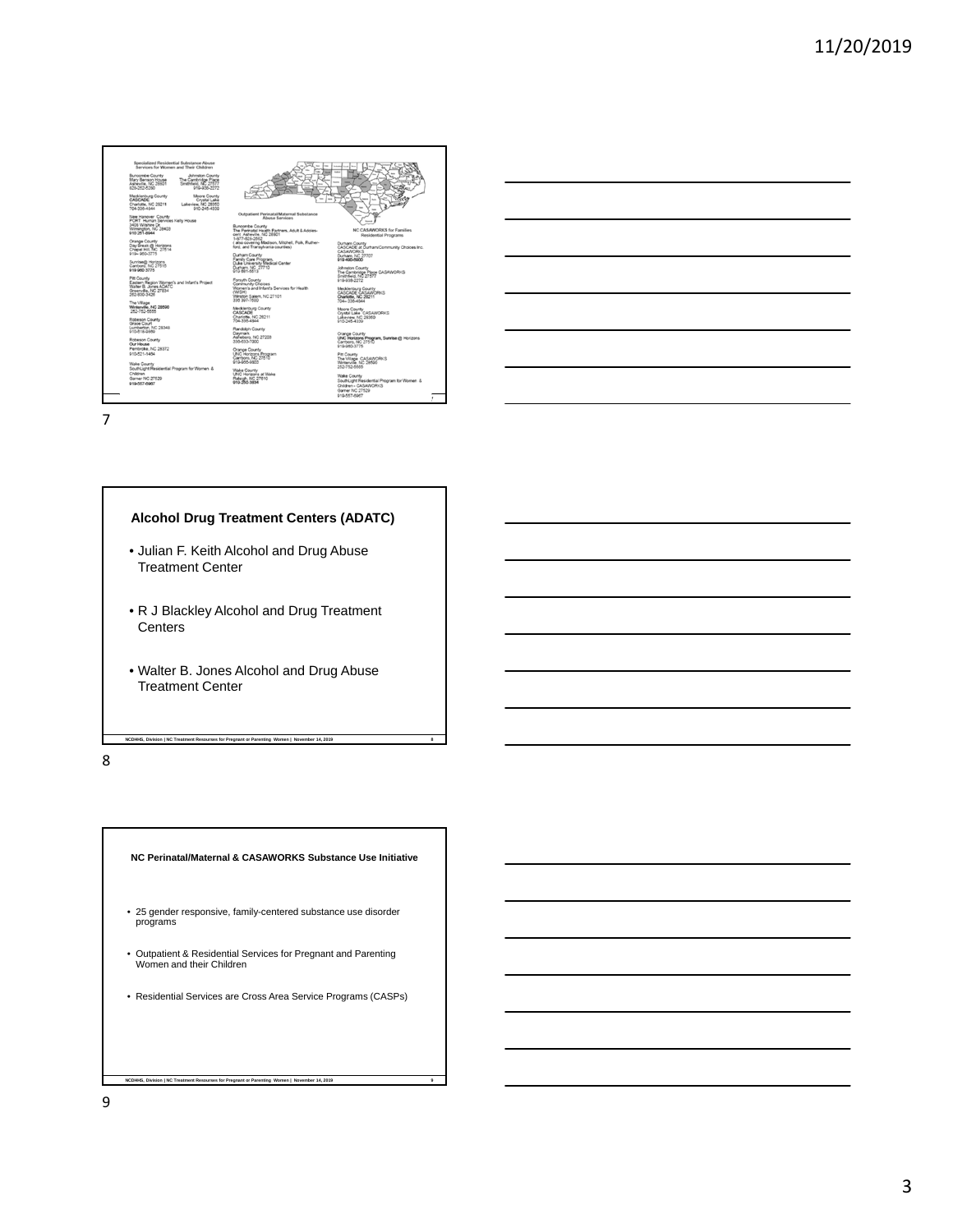

7

# **Alcohol Drug Treatment Centers (ADATC)**

- Julian F. Keith Alcohol and Drug Abuse Treatment Center
- R J Blackley Alcohol and Drug Treatment **Centers**
- Walter B. Jones Alcohol and Drug Abuse Treatment Center

**NCDHHS, Division | NC Treatment Resourses for Pregnant or Parenting Women | November 14, 2019 8**

8

#### **NC Perinatal/Maternal & CASAWORKS Substance Use Initiative**

- 25 gender responsive, family-centered substance use disorder programs
- Outpatient & Residential Services for Pregnant and Parenting Women and their Children

**NCDHHS, Division | NC Treatment Resourses for Pregnant or Parenting Women | November 14, 2019 9**

• Residential Services are Cross Area Service Programs (CASPs)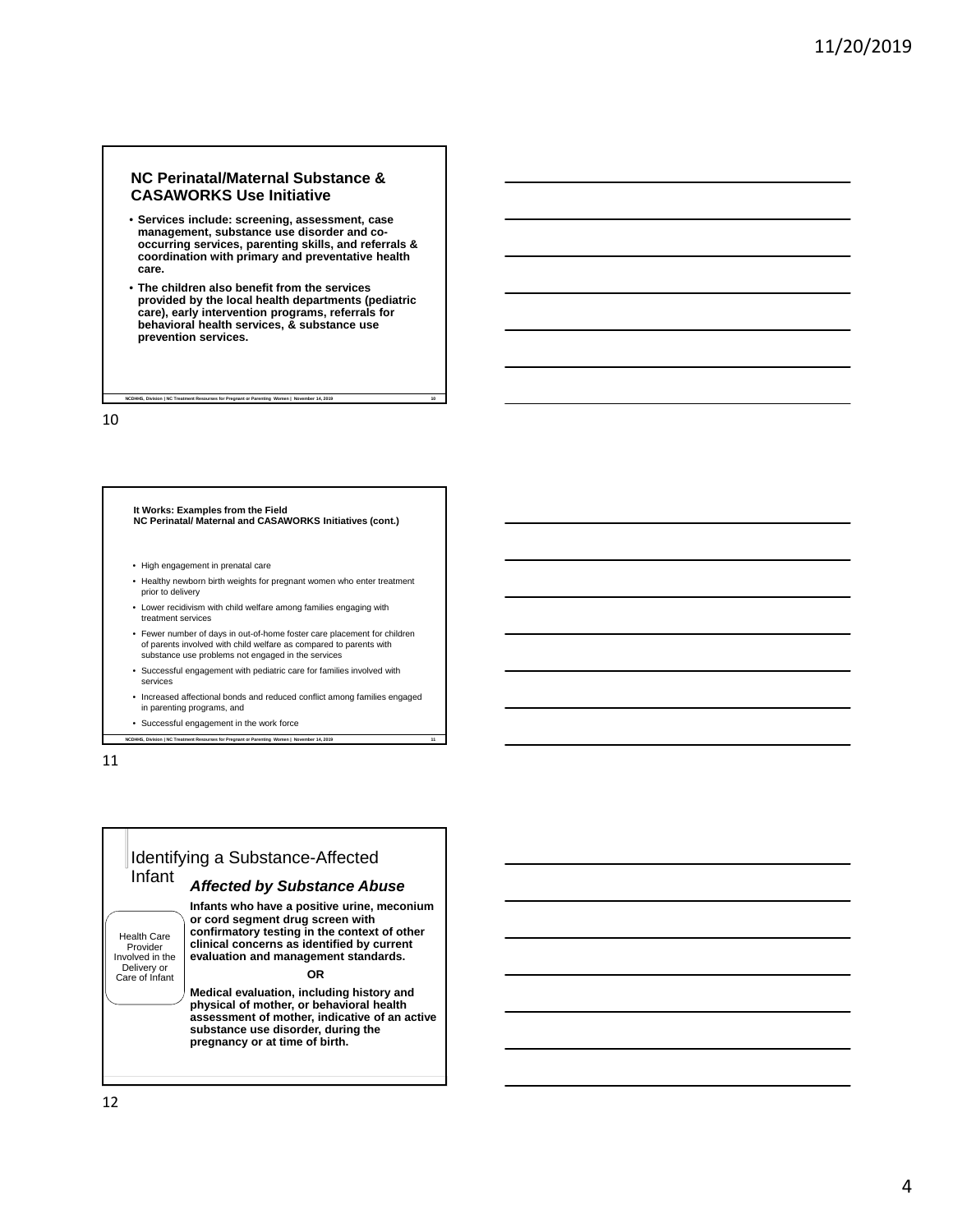# **NC Perinatal/Maternal Substance & CASAWORKS Use Initiative**

- **Services include: screening, assessment, case management, substance use disorder and cooccurring services, parenting skills, and referrals & coordination with primary and preventative health care.**
- **The children also benefit from the services provided by the local health departments (pediatric care), early intervention programs, referrals for behavioral health services, & substance use prevention services.**

**NCDHHS, Division | NC Treatment Resourses for Pregnant or Parenting Women | November 14, 2019 10**

10

#### **It Works: Examples from the Field NC Perinatal/ Maternal and CASAWORKS Initiatives (cont.)**

- High engagement in prenatal care
- Healthy newborn birth weights for pregnant women who enter treatment prior to delivery
- Lower recidivism with child welfare among families engaging with treatment services
- Fewer number of days in out-of-home foster care placement for children of parents involved with child welfare as compared to parents with substance use problems not engaged in the services
- Successful engagement with pediatric care for families involved with services
- Increased affectional bonds and reduced conflict among families engaged in parenting programs, and
- **NCDHHS, Division | NC Treatment Resourses for Pregnant or Parenting Women | November 14, 2019 11** • Successful engagement in the work force

11

# Identifying a Substance-Affected Infant *Affected by Substance Abuse*

Health Care Provider Involved in the Delivery or Care of Infant

**Infants who have a positive urine, meconium or cord segment drug screen with confirmatory testing in the context of other clinical concerns as identified by current evaluation and management standards. OR**

**Medical evaluation, including history and physical of mother, or behavioral health assessment of mother, indicative of an active substance use disorder, during the pregnancy or at time of birth.**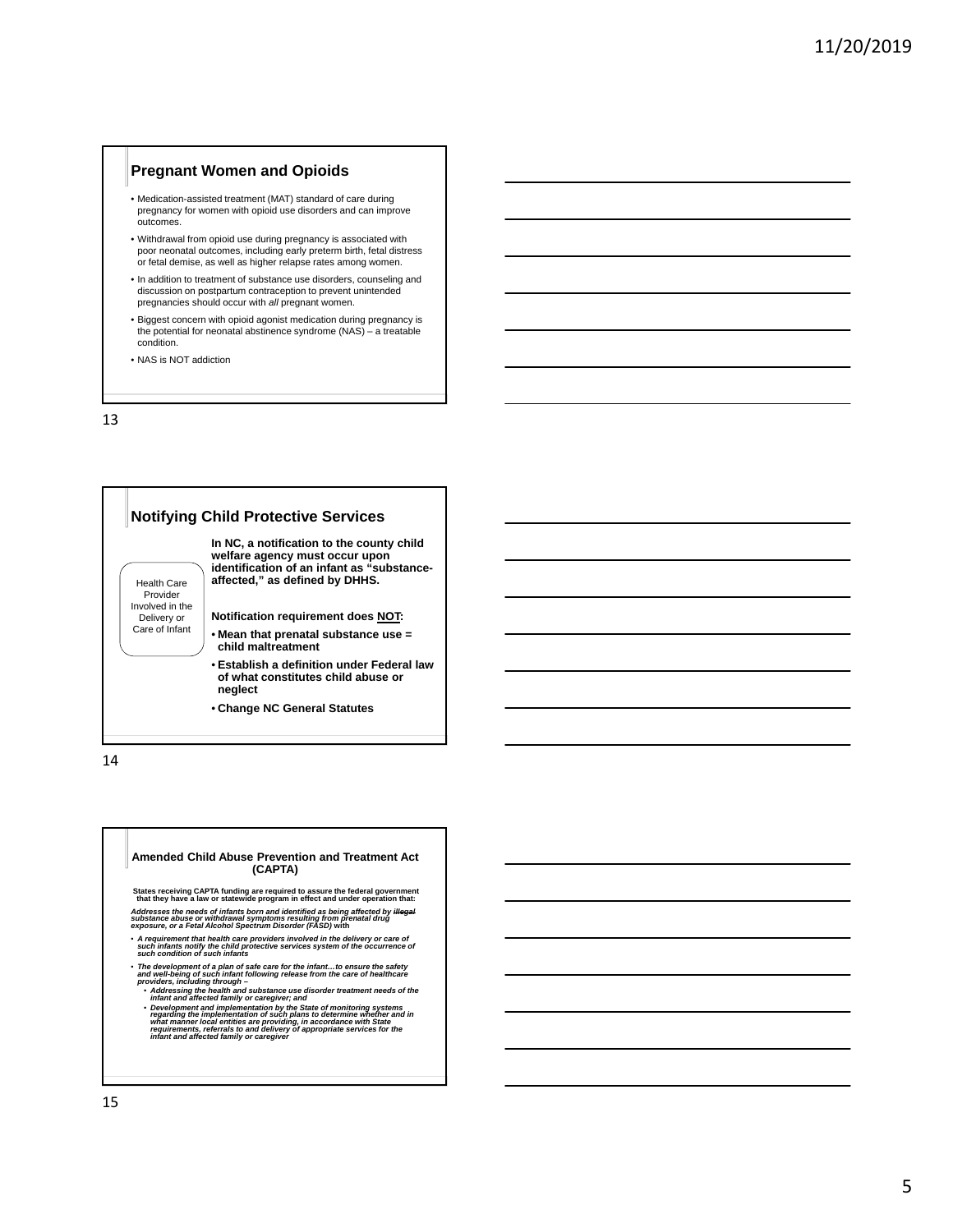# **Pregnant Women and Opioids**

- Medication-assisted treatment (MAT) standard of care during pregnancy for women with opioid use disorders and can improve outcomes.
- Withdrawal from opioid use during pregnancy is associated with poor neonatal outcomes, including early preterm birth, fetal distress or fetal demise, as well as higher relapse rates among women.
- In addition to treatment of substance use disorders, counseling and discussion on postpartum contraception to prevent unintended pregnancies should occur with *all* pregnant women.
- Biggest concern with opioid agonist medication during pregnancy is the potential for neonatal abstinence syndrome (NAS) – a treatable condition.
- NAS is NOT addiction

13



14

#### **Amended Child Abuse Prevention and Treatment Act (CAPTA)**

**States receiving CAPTA funding are required to assure the federal government that they have a law or statewide program in effect and under operation that:**

Addresses the needs of infants born and identified as being affected by <del>illegal</del><br>substance abuse or withdrawal symptoms resulting from prenatal drug<br>exposure, or a Fetal Alcohol Spectrum Disorder (FASD) with

- *A requirement that health care providers involved in the delivery or care of such infants notify the child protective services system of the occurrence of such condition of such infants*
- *The development of a plan of safe care for the infant…to ensure the safety and well-being of such infant following release from the care of healthcare providers, including through –*
- *Addressing the health and substance use disorder treatment needs of the infant and affected family or caregiver; and*
- Development and implementation by the State of monitoring systems<br>regarding the implementation of such plans to determine whether and in<br>what manner local entities are providing, in accordance with State<br>requirements, re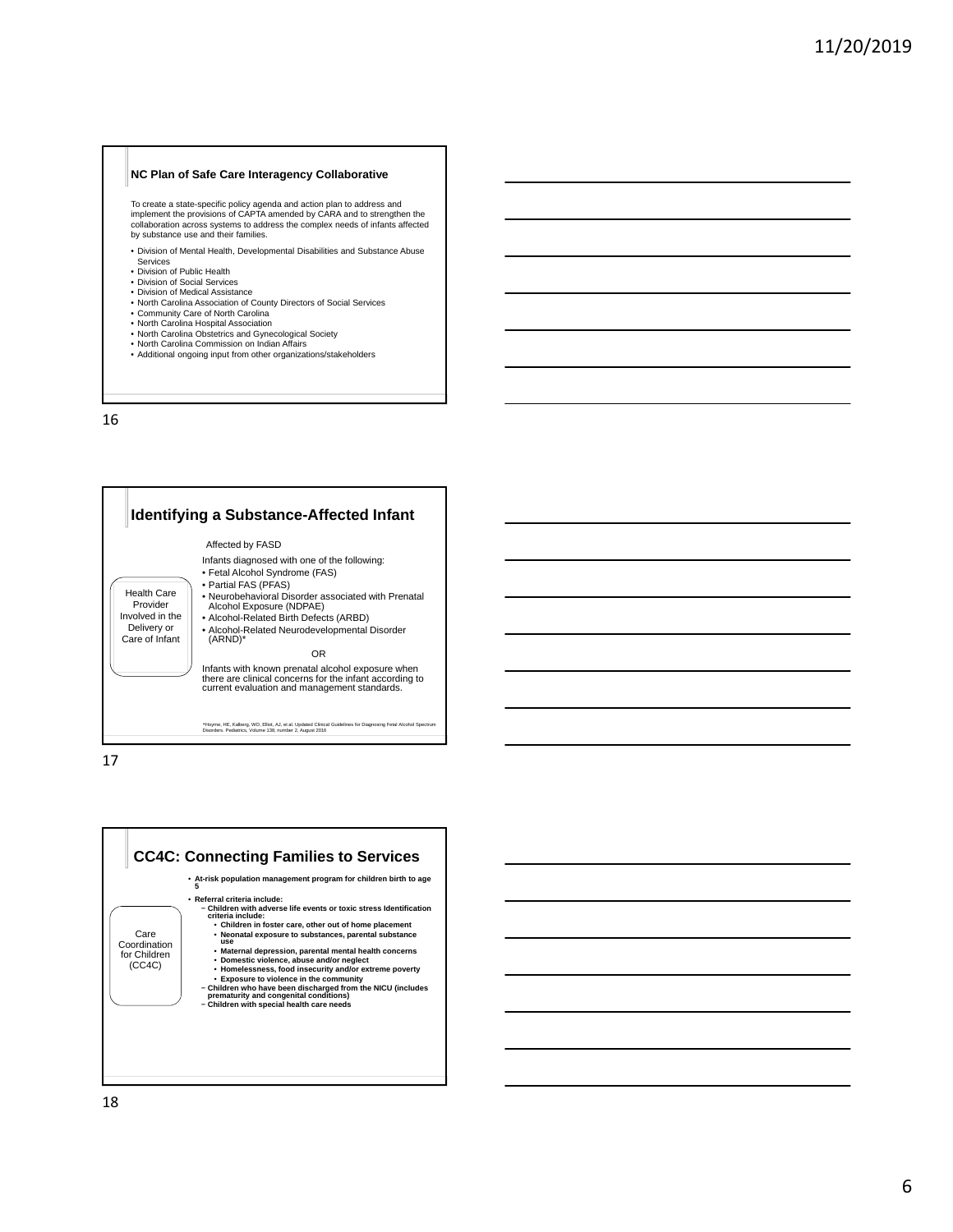#### **NC Plan of Safe Care Interagency Collaborative**

To create a state-specific policy agenda and action plan to address and implement the provisions of CAPTA amended by CARA and to strengthen the collaboration across systems to address the complex needs of infants affected by substance use and their families.

- Division of Mental Health, Developmental Disabilities and Substance Abuse Services
- Division of Public Health
- Division of Social Services Division of Medical Assistance
- 
- North Carolina Association of County Directors of Social Services • Community Care of North Carolina
- 
- North Carolina Hospital Association North Carolina Obstetrics and Gynecological Society
- North Carolina Commission on Indian Affairs
- Additional ongoing input from other organizations/stakeholders

16



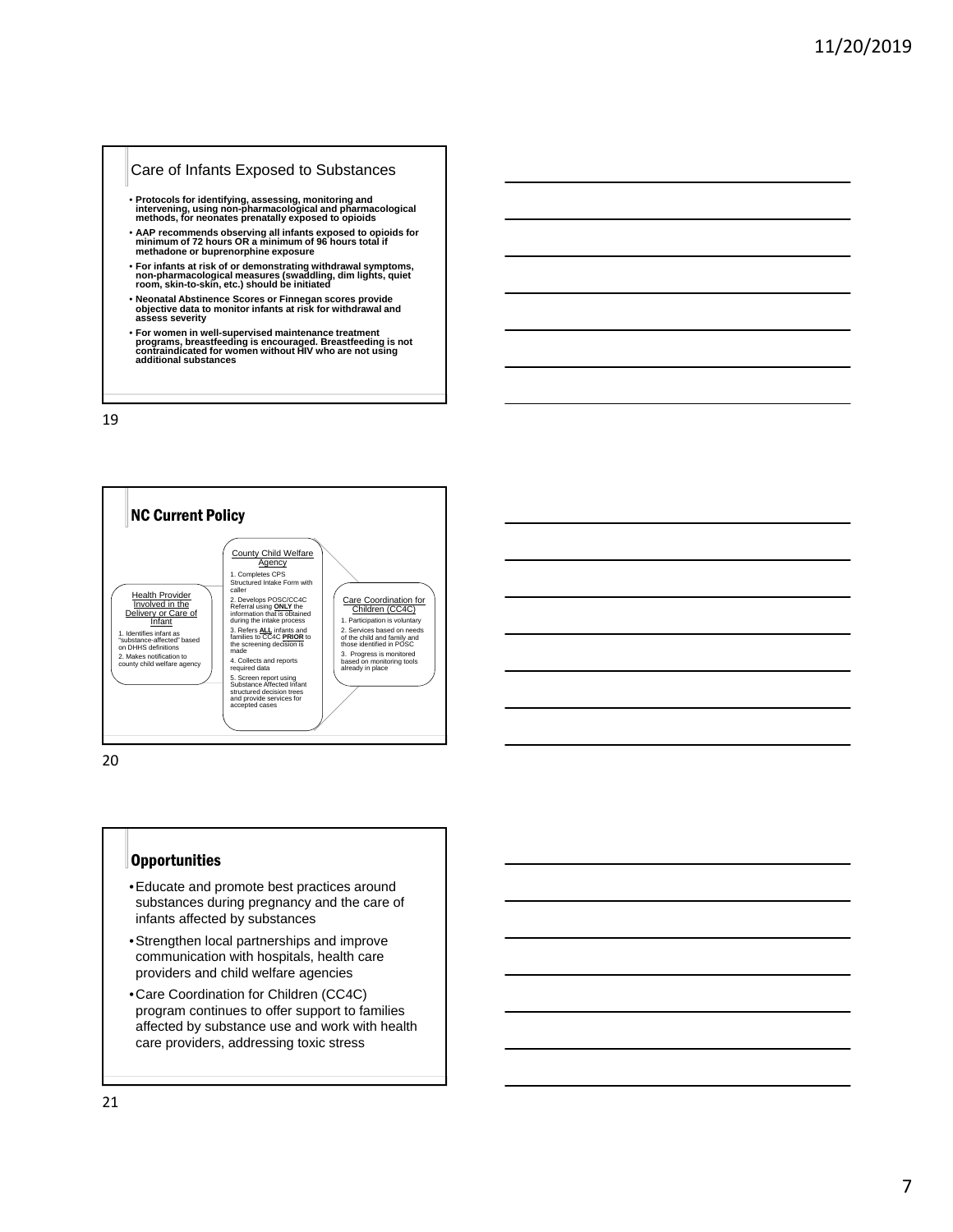# Care of Infants Exposed to Substances

- **Protocols for identifying, assessing, monitoring and intervening, using non-pharmacological and pharmacological methods, for neonates prenatally exposed to opioids**
- **AAP recommends observing all infants exposed to opioids for minimum of 72 hours OR a minimum of 96 hours total if methadone or buprenorphine exposure**
- **For infants at risk of or demonstrating withdrawal symptoms, non-pharmacological measures (swaddling, dim lights, quiet room, skin-to-skin, etc.) should be initiated**
- **Neonatal Abstinence Scores or Finnegan scores provide objective data to monitor infants at risk for withdrawal and assess severity**
- **For women in well-supervised maintenance treatment programs, breastfeeding is encouraged. Breastfeeding is not contraindicated for women without HIV who are not using additional substances**

19



20

# **Opportunities**

- •Educate and promote best practices around substances during pregnancy and the care of infants affected by substances
- •Strengthen local partnerships and improve communication with hospitals, health care providers and child welfare agencies
- •Care Coordination for Children (CC4C) program continues to offer support to families affected by substance use and work with health care providers, addressing toxic stress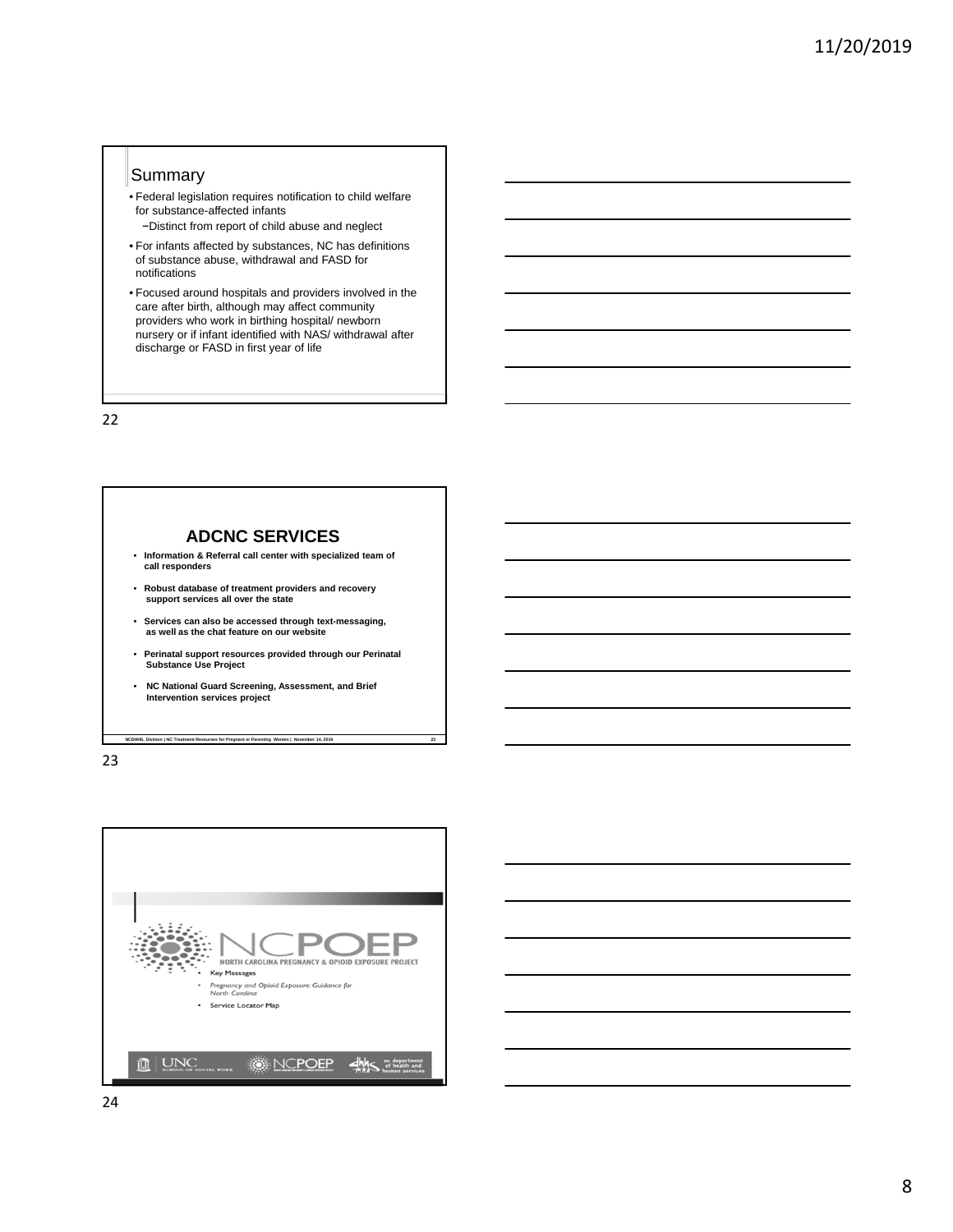# Summary

- Federal legislation requires notification to child welfare for substance-affected infants
- −Distinct from report of child abuse and neglect • For infants affected by substances, NC has definitions of substance abuse, withdrawal and FASD for
- notifications • Focused around hospitals and providers involved in the care after birth, although may affect community providers who work in birthing hospital/ newborn
- nursery or if infant identified with NAS/ withdrawal after discharge or FASD in first year of life

22

# **ADCNC SERVICES**

- **Information & Referral call center with specialized team of call responders**
- **Robust database of treatment providers and recovery support services all over the state**
- **Services can also be accessed through text-messaging, as well as the chat feature on our website**
- **Perinatal support resources provided through our Perinatal Substance Use Project**
- **NC National Guard Screening, Assessment, and Brief Intervention services project**

**NCDHHS, Division | NC Treatment Resourses for Pregnant or Parenting Women | November 14, 2019 23**